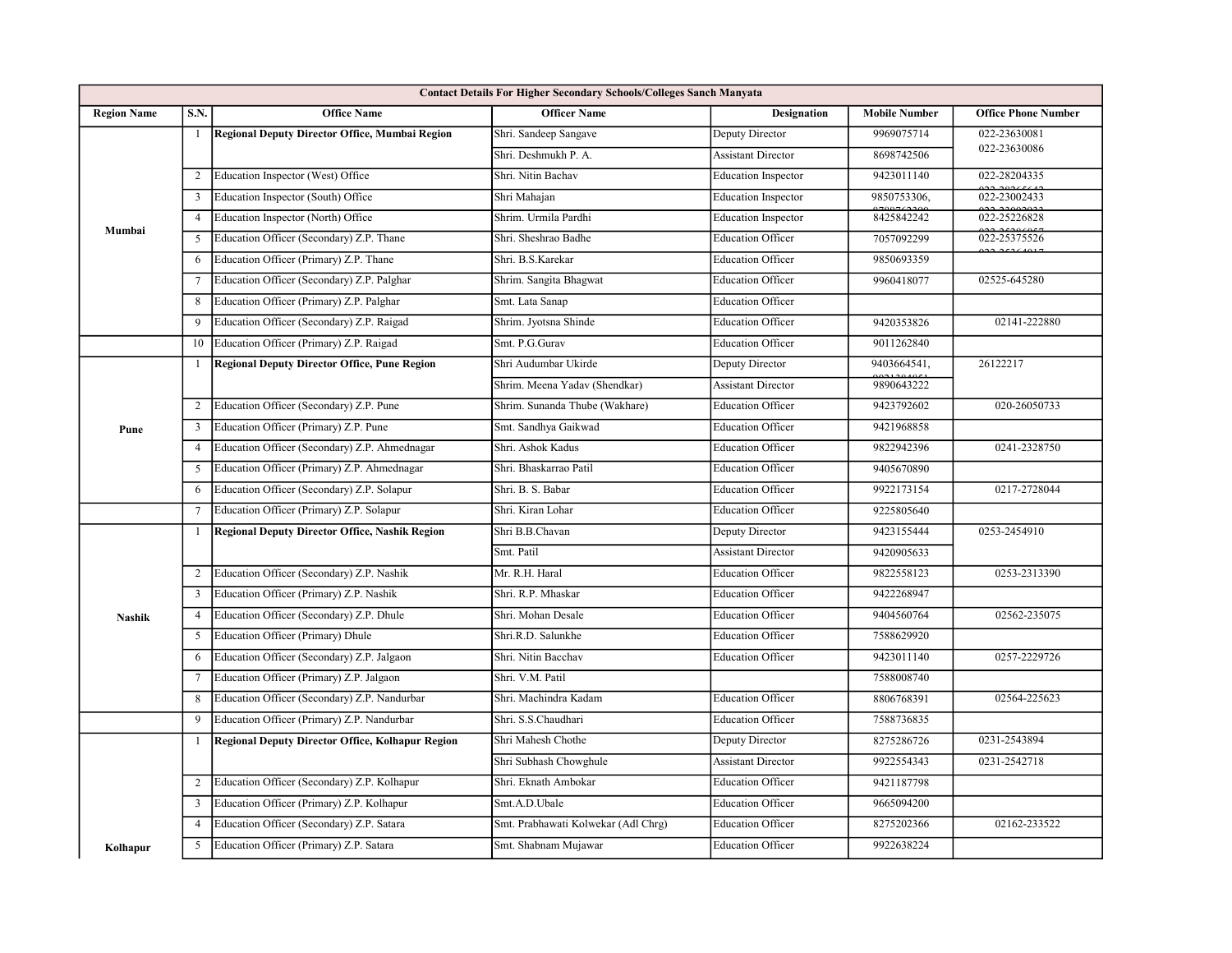| <b>Contact Details For Higher Secondary Schools/Colleges Sanch Manyata</b> |                         |                                                         |                                     |                            |                      |                            |  |
|----------------------------------------------------------------------------|-------------------------|---------------------------------------------------------|-------------------------------------|----------------------------|----------------------|----------------------------|--|
| <b>Region Name</b>                                                         | S.N.                    | <b>Office Name</b>                                      | <b>Officer Name</b>                 | <b>Designation</b>         | <b>Mobile Number</b> | <b>Office Phone Number</b> |  |
| Mumbai                                                                     | -1                      | Regional Deputy Director Office, Mumbai Region          | Shri. Sandeep Sangave               | Deputy Director            | 9969075714           | 022-23630081               |  |
|                                                                            |                         |                                                         | Shri. Deshmukh P. A.                | <b>Assistant Director</b>  | 8698742506           | 022-23630086               |  |
|                                                                            | 2                       | Education Inspector (West) Office                       | Shri. Nitin Bachav                  | <b>Education Inspector</b> | 9423011140           | 022-28204335               |  |
|                                                                            | 3                       | Education Inspector (South) Office                      | Shri Mahajan                        | <b>Education Inspector</b> | 9850753306,          | 022-23002433               |  |
|                                                                            | $\overline{4}$          | Education Inspector (North) Office                      | Shrim. Urmila Pardhi                | <b>Education Inspector</b> | 8425842242           | 022-25226828               |  |
|                                                                            | 5                       | Education Officer (Secondary) Z.P. Thane                | Shri. Sheshrao Badhe                | <b>Education Officer</b>   | 7057092299           | 022-25375526<br>0.2225     |  |
|                                                                            | 6                       | Education Officer (Primary) Z.P. Thane                  | Shri. B.S.Karekar                   | <b>Education Officer</b>   | 9850693359           |                            |  |
|                                                                            | 7                       | Education Officer (Secondary) Z.P. Palghar              | Shrim. Sangita Bhagwat              | <b>Education Officer</b>   | 9960418077           | 02525-645280               |  |
|                                                                            | 8                       | Education Officer (Primary) Z.P. Palghar                | Smt. Lata Sanap                     | <b>Education Officer</b>   |                      |                            |  |
|                                                                            | 9                       | Education Officer (Secondary) Z.P. Raigad               | Shrim. Jyotsna Shinde               | <b>Education Officer</b>   | 9420353826           | 02141-222880               |  |
|                                                                            | 10                      | Education Officer (Primary) Z.P. Raigad                 | Smt. P.G.Gurav                      | <b>Education Officer</b>   | 9011262840           |                            |  |
|                                                                            | -1                      | <b>Regional Deputy Director Office, Pune Region</b>     | Shri Audumbar Ukirde                | Deputy Director            | 9403664541,          | 26122217                   |  |
| Pune                                                                       |                         |                                                         | Shrim. Meena Yadav (Shendkar)       | <b>Assistant Director</b>  | 9890643222           |                            |  |
|                                                                            | 2                       | Education Officer (Secondary) Z.P. Pune                 | Shrim. Sunanda Thube (Wakhare)      | <b>Education Officer</b>   | 9423792602           | 020-26050733               |  |
|                                                                            | $\overline{3}$          | Education Officer (Primary) Z.P. Pune                   | Smt. Sandhya Gaikwad                | <b>Education Officer</b>   | 9421968858           |                            |  |
|                                                                            | $\overline{4}$          | Education Officer (Secondary) Z.P. Ahmednagar           | Shri. Ashok Kadus                   | <b>Education Officer</b>   | 9822942396           | 0241-2328750               |  |
|                                                                            | 5                       | Education Officer (Primary) Z.P. Ahmednagar             | Shri. Bhaskarrao Patil              | <b>Education Officer</b>   | 9405670890           |                            |  |
|                                                                            | 6                       | Education Officer (Secondary) Z.P. Solapur              | Shri. B. S. Babar                   | <b>Education Officer</b>   | 9922173154           | 0217-2728044               |  |
|                                                                            | 7                       | Education Officer (Primary) Z.P. Solapur                | Shri. Kiran Lohar                   | <b>Education Officer</b>   | 9225805640           |                            |  |
|                                                                            | $\overline{1}$          | Regional Deputy Director Office, Nashik Region          | Shri B.B.Chavan                     | Deputy Director            | 9423155444           | 0253-2454910               |  |
|                                                                            |                         |                                                         | Smt. Patil                          | <b>Assistant Director</b>  | 9420905633           |                            |  |
|                                                                            | 2                       | Education Officer (Secondary) Z.P. Nashik               | Mr. R.H. Haral                      | <b>Education Officer</b>   | 9822558123           | 0253-2313390               |  |
|                                                                            | 3                       | Education Officer (Primary) Z.P. Nashik                 | Shri. R.P. Mhaskar                  | <b>Education Officer</b>   | 9422268947           |                            |  |
| <b>Nashik</b>                                                              | $\overline{4}$          | Education Officer (Secondary) Z.P. Dhule                | Shri. Mohan Desale                  | <b>Education Officer</b>   | 9404560764           | 02562-235075               |  |
|                                                                            | 5                       | Education Officer (Primary) Dhule                       | Shri.R.D. Salunkhe                  | <b>Education Officer</b>   | 7588629920           |                            |  |
|                                                                            | 6                       | Education Officer (Secondary) Z.P. Jalgaon              | Shri. Nitin Bacchav                 | <b>Education Officer</b>   | 9423011140           | 0257-2229726               |  |
|                                                                            |                         | Education Officer (Primary) Z.P. Jalgaon                | Shri. V.M. Patil                    |                            | 7588008740           |                            |  |
|                                                                            | 8                       | Education Officer (Secondary) Z.P. Nandurbar            | Shri. Machindra Kadam               | <b>Education Officer</b>   | 8806768391           | 02564-225623               |  |
|                                                                            | 9                       | Education Officer (Primary) Z.P. Nandurbar              | Shri. S.S.Chaudhari                 | <b>Education Officer</b>   | 7588736835           |                            |  |
|                                                                            | -1                      | <b>Regional Deputy Director Office, Kolhapur Region</b> | Shri Mahesh Chothe                  | Deputy Director            | 8275286726           | 0231-2543894               |  |
|                                                                            |                         |                                                         | Shri Subhash Chowghule              | <b>Assistant Director</b>  | 9922554343           | 0231-2542718               |  |
|                                                                            | 2                       | Education Officer (Secondary) Z.P. Kolhapur             | Shri. Eknath Ambokar                | <b>Education Officer</b>   | 9421187798           |                            |  |
|                                                                            | $\overline{\mathbf{3}}$ | Education Officer (Primary) Z.P. Kolhapur               | Smt.A.D.Ubale                       | <b>Education Officer</b>   | 9665094200           |                            |  |
|                                                                            | $\overline{4}$          | Education Officer (Secondary) Z.P. Satara               | Smt. Prabhawati Kolwekar (Adl Chrg) | <b>Education Officer</b>   | 8275202366           | 02162-233522               |  |
| Kolhapur                                                                   | 5                       | Education Officer (Primary) Z.P. Satara                 | Smt. Shabnam Mujawar                | <b>Education Officer</b>   | 9922638224           |                            |  |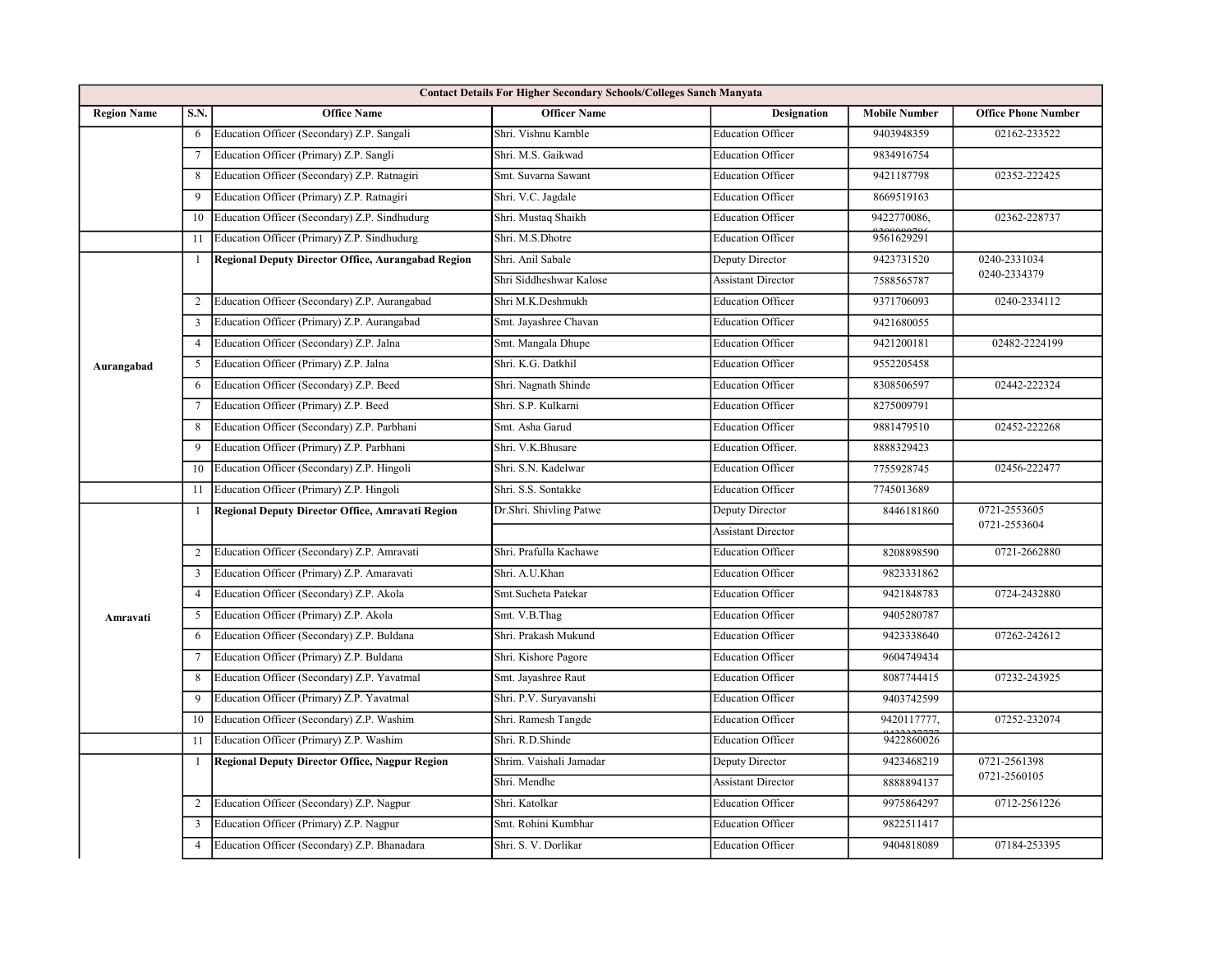| <b>Contact Details For Higher Secondary Schools/Colleges Sanch Manyata</b> |                         |                                                    |                         |                           |                      |                            |  |
|----------------------------------------------------------------------------|-------------------------|----------------------------------------------------|-------------------------|---------------------------|----------------------|----------------------------|--|
| <b>Region Name</b>                                                         | S.N.                    | <b>Office Name</b>                                 | <b>Officer Name</b>     | <b>Designation</b>        | <b>Mobile Number</b> | <b>Office Phone Number</b> |  |
|                                                                            | 6                       | Education Officer (Secondary) Z.P. Sangali         | Shri. Vishnu Kamble     | <b>Education Officer</b>  | 9403948359           | 02162-233522               |  |
|                                                                            | 7                       | Education Officer (Primary) Z.P. Sangli            | Shri. M.S. Gaikwad      | <b>Education Officer</b>  | 9834916754           |                            |  |
|                                                                            | 8                       | Education Officer (Secondary) Z.P. Ratnagiri       | Smt. Suvarna Sawant     | <b>Education Officer</b>  | 9421187798           | 02352-222425               |  |
|                                                                            | 9                       | Education Officer (Primary) Z.P. Ratnagiri         | Shri. V.C. Jagdale      | <b>Education Officer</b>  | 8669519163           |                            |  |
|                                                                            | 10                      | Education Officer (Secondary) Z.P. Sindhudurg      | Shri. Mustaq Shaikh     | <b>Education Officer</b>  | 9422770086,          | 02362-228737               |  |
|                                                                            | 11                      | Education Officer (Primary) Z.P. Sindhudurg        | Shri. M.S.Dhotre        | <b>Education Officer</b>  | 9561629291           |                            |  |
| Aurangabad                                                                 | -1                      | Regional Deputy Director Office, Aurangabad Region | Shri. Anil Sabale       | Deputy Director           | 9423731520           | 0240-2331034               |  |
|                                                                            |                         |                                                    | Shri Siddheshwar Kalose | <b>Assistant Director</b> | 7588565787           | 0240-2334379               |  |
|                                                                            | 2                       | Education Officer (Secondary) Z.P. Aurangabad      | Shri M.K.Deshmukh       | <b>Education Officer</b>  | 9371706093           | 0240-2334112               |  |
|                                                                            | 3                       | Education Officer (Primary) Z.P. Aurangabad        | Smt. Jayashree Chavan   | <b>Education Officer</b>  | 9421680055           |                            |  |
|                                                                            | $\overline{4}$          | Education Officer (Secondary) Z.P. Jalna           | Smt. Mangala Dhupe      | <b>Education Officer</b>  | 9421200181           | 02482-2224199              |  |
|                                                                            | 5                       | Education Officer (Primary) Z.P. Jalna             | Shri. K.G. Datkhil      | <b>Education Officer</b>  | 9552205458           |                            |  |
|                                                                            | 6                       | Education Officer (Secondary) Z.P. Beed            | Shri. Nagnath Shinde    | <b>Education Officer</b>  | 8308506597           | 02442-222324               |  |
|                                                                            | 7                       | Education Officer (Primary) Z.P. Beed              | Shri. S.P. Kulkarni     | <b>Education Officer</b>  | 8275009791           |                            |  |
|                                                                            | 8                       | Education Officer (Secondary) Z.P. Parbhani        | Smt. Asha Garud         | <b>Education Officer</b>  | 9881479510           | 02452-222268               |  |
|                                                                            | 9                       | Education Officer (Primary) Z.P. Parbhani          | Shri. V.K.Bhusare       | <b>Education Officer.</b> | 8888329423           |                            |  |
|                                                                            | 10                      | Education Officer (Secondary) Z.P. Hingoli         | Shri. S.N. Kadelwar     | <b>Education Officer</b>  | 7755928745           | 02456-222477               |  |
|                                                                            | 11                      | Education Officer (Primary) Z.P. Hingoli           | Shri. S.S. Sontakke     | <b>Education Officer</b>  | 7745013689           |                            |  |
|                                                                            | $\overline{1}$          | Regional Deputy Director Office, Amravati Region   | Dr.Shri. Shivling Patwe | Deputy Director           | 8446181860           | 0721-2553605               |  |
|                                                                            |                         |                                                    |                         | <b>Assistant Director</b> |                      | 0721-2553604               |  |
|                                                                            | 2                       | Education Officer (Secondary) Z.P. Amravati        | Shri. Prafulla Kachawe  | <b>Education Officer</b>  | 8208898590           | 0721-2662880               |  |
| Amravati                                                                   | $\overline{\mathbf{3}}$ | Education Officer (Primary) Z.P. Amaravati         | Shri. A.U.Khan          | <b>Education Officer</b>  | 9823331862           |                            |  |
|                                                                            | $\overline{4}$          | Education Officer (Secondary) Z.P. Akola           | Smt.Sucheta Patekar     | <b>Education Officer</b>  | 9421848783           | 0724-2432880               |  |
|                                                                            | 5                       | Education Officer (Primary) Z.P. Akola             | Smt. V.B.Thag           | <b>Education Officer</b>  | 9405280787           |                            |  |
|                                                                            | 6                       | Education Officer (Secondary) Z.P. Buldana         | Shri. Prakash Mukund    | <b>Education Officer</b>  | 9423338640           | 07262-242612               |  |
|                                                                            |                         | Education Officer (Primary) Z.P. Buldana           | Shri. Kishore Pagore    | <b>Education Officer</b>  | 9604749434           |                            |  |
|                                                                            | 8                       | Education Officer (Secondary) Z.P. Yavatmal        | Smt. Jayashree Raut     | <b>Education Officer</b>  | 8087744415           | 07232-243925               |  |
|                                                                            | 9                       | Education Officer (Primary) Z.P. Yavatmal          | Shri. P.V. Suryavanshi  | <b>Education Officer</b>  | 9403742599           |                            |  |
|                                                                            | 10                      | Education Officer (Secondary) Z.P. Washim          | Shri. Ramesh Tangde     | <b>Education Officer</b>  | 9420117777,          | 07252-232074               |  |
|                                                                            | 11                      | Education Officer (Primary) Z.P. Washim            | Shri. R.D.Shinde        | <b>Education Officer</b>  | 9422860026           |                            |  |
|                                                                            | -1                      | Regional Deputy Director Office, Nagpur Region     | Shrim. Vaishali Jamadar | Deputy Director           | 9423468219           | 0721-2561398               |  |
|                                                                            |                         |                                                    | Shri. Mendhe            | <b>Assistant Director</b> | 8888894137           | 0721-2560105               |  |
|                                                                            | 2                       | Education Officer (Secondary) Z.P. Nagpur          | Shri. Katolkar          | <b>Education Officer</b>  | 9975864297           | 0712-2561226               |  |
|                                                                            | 3                       | Education Officer (Primary) Z.P. Nagpur            | Smt. Rohini Kumbhar     | <b>Education Officer</b>  | 9822511417           |                            |  |
|                                                                            | $\overline{4}$          | Education Officer (Secondary) Z.P. Bhanadara       | Shri. S. V. Dorlikar    | <b>Education Officer</b>  | 9404818089           | 07184-253395               |  |